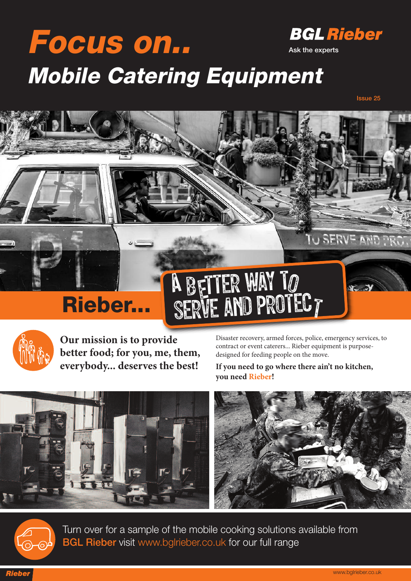### **Focus on.. BGL Rieber Ask the experts Mobile Catering Equipment**

A

**Issue 25**

U SERVE AND PRO

# **Rieber...**



**Our mission is to provide better food; for you, me, them, everybody... deserves the best!**

Disaster recovery, armed forces, police, emergency services, to contract or event caterers... Rieber equipment is purposedesigned for feeding people on the move.

T

**If you need to go where there ain't no kitchen, you need Rieber!**



b tter way t

SERVE AND PROTEC

EITER WAY 10



Turn over for a sample of the mobile cooking solutions available from **BGL Rieber** visit www.bglrieber.co.uk for our full range